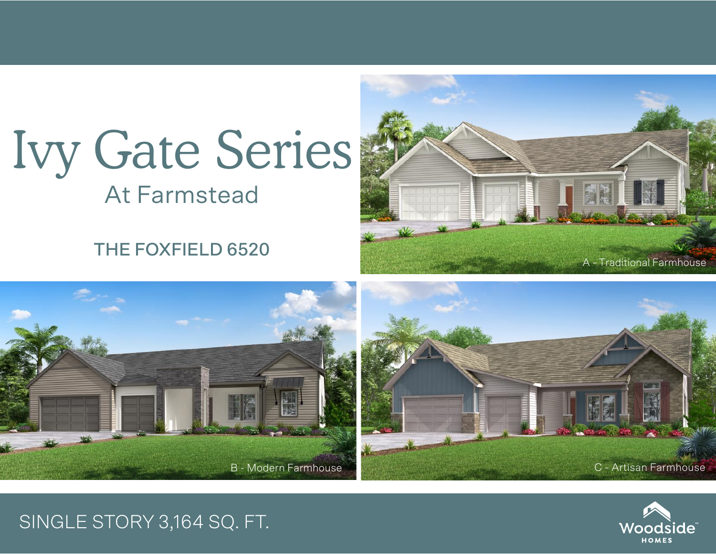## Ivy Gate Series At Farmstead

THE FOXFIELD 6520







## SINGLE STORY 3,164 SQ. FT.